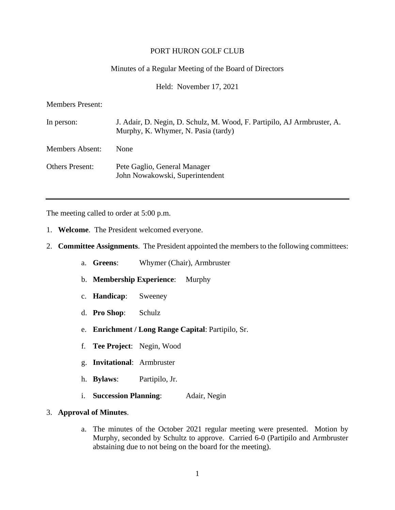#### PORT HURON GOLF CLUB

#### Minutes of a Regular Meeting of the Board of Directors

Held: November 17, 2021

Members Present:

| In person:             | J. Adair, D. Negin, D. Schulz, M. Wood, F. Partipilo, AJ Armbruster, A.<br>Murphy, K. Whymer, N. Pasia (tardy) |
|------------------------|----------------------------------------------------------------------------------------------------------------|
| <b>Members Absent:</b> | None                                                                                                           |
| <b>Others Present:</b> | Pete Gaglio, General Manager<br>John Nowakowski, Superintendent                                                |

The meeting called to order at 5:00 p.m.

- 1. **Welcome**. The President welcomed everyone.
- 2. **Committee Assignments**. The President appointed the members to the following committees:
	- a. **Greens**: Whymer (Chair), Armbruster
	- b. **Membership Experience**: Murphy
	- c. **Handicap**: Sweeney
	- d. **Pro Shop**: Schulz
	- e. **Enrichment / Long Range Capital**: Partipilo, Sr.
	- f. **Tee Project**: Negin, Wood
	- g. **Invitational**: Armbruster
	- h. **Bylaws**: Partipilo, Jr.
	- i. **Succession Planning**: Adair, Negin

#### 3. **Approval of Minutes**.

a. The minutes of the October 2021 regular meeting were presented. Motion by Murphy, seconded by Schultz to approve. Carried 6-0 (Partipilo and Armbruster abstaining due to not being on the board for the meeting).